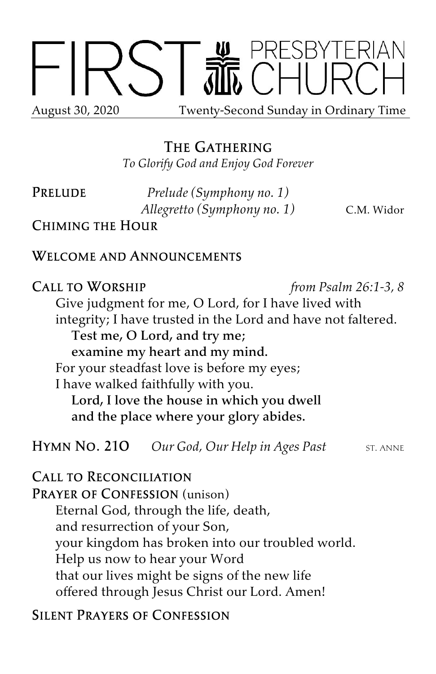

# The Gathering

*To Glorify God and Enjoy God Forever*

Prelude *Prelude (Symphony no. 1) Allegretto (Symphony no. 1)* C.M. Widor

Chiming the Hour

### Welcome and Announcements

Call to Worship *from Psalm 26:1-3, 8* Give judgment for me, O Lord, for I have lived with integrity; I have trusted in the Lord and have not faltered. Test me, O Lord, and try me; examine my heart and my mind. For your steadfast love is before my eyes; I have walked faithfully with you. Lord, I love the house in which you dwell and the place where your glory abides.

**HYMN NO. 210** *Our God, Our Help in Ages Past* ST. ANNE

Call to Reconciliation

PRAYER OF CONFESSION (unison) Eternal God, through the life, death, and resurrection of your Son, your kingdom has broken into our troubled world. Help us now to hear your Word that our lives might be signs of the new life offered through Jesus Christ our Lord. Amen!

Silent Prayers of Confession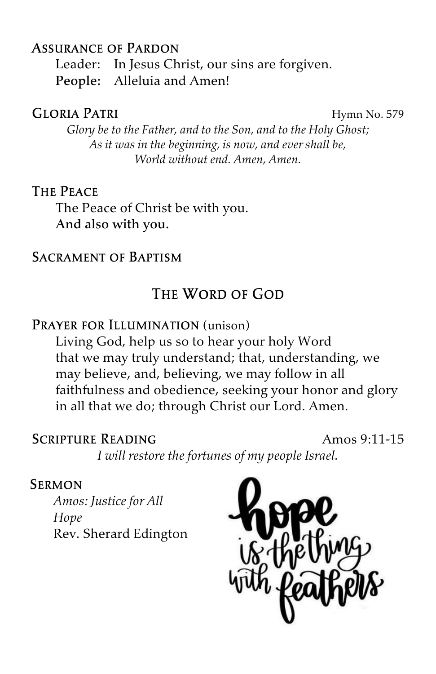## Assurance of Pardon

Leader: In Jesus Christ, our sins are forgiven. People: Alleluia and Amen!

#### GLORIA PATRI Hymn No. 579

*Glory be to the Father, and to the Son, and to the Holy Ghost; As it was in the beginning, is now, and ever shall be, World without end. Amen, Amen.*

#### The Peace

The Peace of Christ be with you. And also with you.

### Sacrament of Baptism

## The Word of God

### PRAYER FOR ILLUMINATION (unison)

Living God, help us so to hear your holy Word that we may truly understand; that, understanding, we may believe, and, believing, we may follow in all faithfulness and obedience, seeking your honor and glory in all that we do; through Christ our Lord. Amen.

## SCRIPTURE READING Amos 9.11-15

*I will restore the fortunes of my people Israel.*

#### Sermon

*Amos: Justice for All Hope* Rev. Sherard Edington

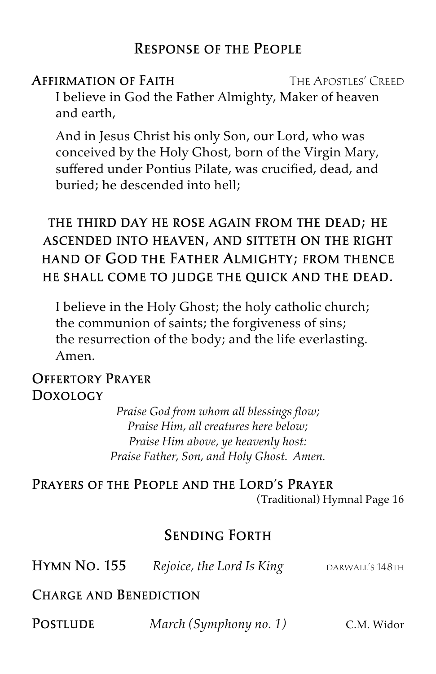## Response of the People

**AFFIRMATION OF FAITH THE APOSTLES' CREED** I believe in God the Father Almighty, Maker of heaven and earth,

And in Jesus Christ his only Son, our Lord, who was conceived by the Holy Ghost, born of the Virgin Mary, suffered under Pontius Pilate, was crucified, dead, and buried; he descended into hell;

# the third day he rose again from the dead; he ascended into heaven, and sitteth on the right hand of God the Father Almighty; from thence he shall come to judge the quick and the dead.

I believe in the Holy Ghost; the holy catholic church; the communion of saints; the forgiveness of sins; the resurrection of the body; and the life everlasting. Amen.

## Offertory Prayer Doxology

*Praise God from whom all blessings flow; Praise Him, all creatures here below; Praise Him above, ye heavenly host: Praise Father, Son, and Holy Ghost. Amen.*

Prayers of the People and the Lord's Prayer (Traditional) Hymnal Page 16

## Sending Forth

**HYMN NO. 155** Rejoice, the Lord Is King DARWALL'S 148TH

## Charge and Benediction

Postlude *March (Symphony no. 1)* C.M. Widor